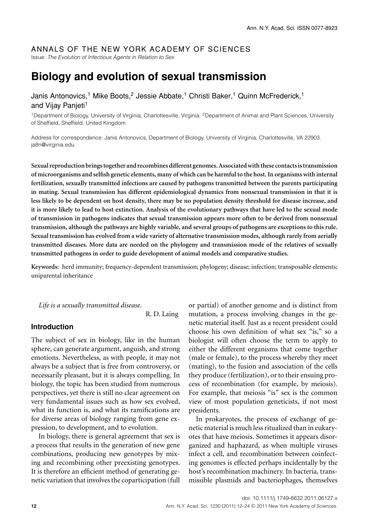# ANNALS OF THE NEW YORK ACADEMY OF SCIENCES

Issue: *The Evolution of Infectious Agents in Relation to Sex*

# **Biology and evolution of sexual transmission**

Janis Antonovics,<sup>1</sup> Mike Boots,<sup>2</sup> Jessie Abbate,<sup>1</sup> Christi Baker,<sup>1</sup> Quinn McFrederick,<sup>1</sup> and Vijay Panjeti<sup>1</sup>

<sup>1</sup>Department of Biology, University of Virginia, Charlottesville, Virginia. <sup>2</sup>Department of Animal and Plant Sciences, University of Sheffield, Sheffield, United Kingdom

Address for correspondence: Janis Antonovics, Department of Biology, University of Virginia, Charlottesville, VA 22903. ja8n@virginia.edu

**Sexual reproduction brings together and recombines different genomes.Associatedwith these contactsis transmission of microorganisms and selfish genetic elements, many of which can be harmful to the host. In organisms with internal fertilization, sexually transmitted infections are caused by pathogens transmitted between the parents participating in mating. Sexual transmission has different epidemiological dynamics from nonsexual transmission in that it is less likely to be dependent on host density, there may be no population density threshold for disease increase, and it is more likely to lead to host extinction. Analysis of the evolutionary pathways that have led to the sexual mode of transmission in pathogens indicates that sexual transmission appears more often to be derived from nonsexual transmission, although the pathways are highly variable, and several groups of pathogens are exceptions to this rule. Sexual transmission has evolved from a wide variety of alternative transmission modes, although rarely from aerially transmitted diseases. More data are needed on the phylogeny and transmission mode of the relatives of sexually transmitted pathogens in order to guide development of animal models and comparative studies.**

**Keywords:** herd immunity; frequency-dependent transmission; phylogeny; disease; infection; transposable elements; uniparental inheritance

*Life is a sexually transmitted disease*.

R. D. Laing

#### **Introduction**

The subject of sex in biology, like in the human sphere, can generate argument, anguish, and strong emotions. Nevertheless, as with people, it may not always be a subject that is free from controversy, or necessarily pleasant, but it is always compelling. In biology, the topic has been studied from numerous perspectives, yet there is still no clear agreement on very fundamental issues such as how sex evolved, what its function is, and what its ramifications are for diverse areas of biology ranging from gene expression, to development, and to evolution.

In biology, there is general agreement that sex is a process that results in the generation of new gene combinations, producing new genotypes by mixing and recombining other preexisting genotypes. It is therefore an efficient method of generating genetic variation that involves the coparticipation (full or partial) of another genome and is distinct from mutation, a process involving changes in the genetic material itself. Just as a recent president could choose his own definition of what sex "is," so a biologist will often choose the term to apply to either the different organisms that come together (male or female), to the process whereby they meet (mating), to the fusion and association of the cells they produce (fertilization), or to their ensuing process of recombination (for example, by meiosis). For example, that meiosis "is" sex is the common view of most population geneticists, if not most presidents.

In prokaryotes, the process of exchange of genetic material is much less ritualized than in eukaryotes that have meiosis. Sometimes it appears disorganized and haphazard, as when multiple viruses infect a cell, and recombination between coinfecting genomes is effected perhaps incidentally by the host's recombination machinery. In bacteria, transmissible plasmids and bacteriophages, themselves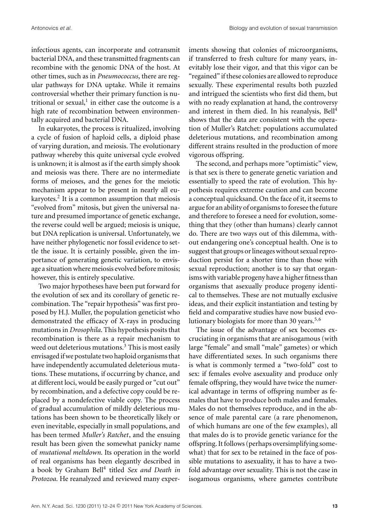infectious agents, can incorporate and cotransmit bacterial DNA, and these transmitted fragments can recombine with the genomic DNA of the host. At other times, such as in *Pneumococcus*, there are regular pathways for DNA uptake. While it remains controversial whether their primary function is nutritional or sexual, $<sup>1</sup>$  in either case the outcome is a</sup> high rate of recombination between environmentally acquired and bacterial DNA.

In eukaryotes, the process is ritualized, involving a cycle of fusion of haploid cells, a diploid phase of varying duration, and meiosis. The evolutionary pathway whereby this quite universal cycle evolved is unknown; it is almost as if the earth simply shook and meiosis was there. There are no intermediate forms of meioses, and the genes for the meiotic mechanism appear to be present in nearly all eukaryotes.<sup>2</sup> It is a common assumption that meiosis "evolved from" mitosis, but given the universal nature and presumed importance of genetic exchange, the reverse could well be argued; meiosis is unique, but DNA replication is universal. Unfortunately, we have neither phylogenetic nor fossil evidence to settle the issue. It is certainly possible, given the importance of generating genetic variation, to envisage a situation where meiosis evolved before mitosis; however, this is entirely speculative.

Two major hypotheses have been put forward for the evolution of sex and its corollary of genetic recombination. The "repair hypothesis" was first proposed by H.J. Muller, the population geneticist who demonstrated the efficacy of X-rays in producing mutations in *Drosophila*. This hypothesis posits that recombination is there as a repair mechanism to weed out deleterious mutations.<sup>3</sup> This is most easily envisaged if we postulate two haploid organisms that have independently accumulated deleterious mutations. These mutations, if occurring by chance, and at different loci, would be easily purged or "cut out" by recombination, and a defective copy could be replaced by a nondefective viable copy. The process of gradual accumulation of mildly deleterious mutations has been shown to be theoretically likely or even inevitable, especially in small populations, and has been termed *Muller's Ratchet*, and the ensuing result has been given the somewhat panicky name of *mutational meltdown*. Its operation in the world of real organisms has been elegantly described in a book by Graham Bell4 titled *Sex and Death in Protozoa*. He reanalyzed and reviewed many experiments showing that colonies of microorganisms, if transferred to fresh culture for many years, inevitably lose their vigor, and that this vigor can be "regained" if these colonies are allowed to reproduce sexually. These experimental results both puzzled and intrigued the scientists who first did them, but with no ready explanation at hand, the controversy and interest in them died. In his reanalysis, Bell<sup>4</sup> shows that the data are consistent with the operation of Muller's Ratchet: populations accumulated deleterious mutations, and recombination among different strains resulted in the production of more vigorous offspring.

The second, and perhaps more "optimistic" view, is that sex is there to generate genetic variation and essentially to speed the rate of evolution. This hypothesis requires extreme caution and can become a conceptual quicksand. On the face of it, it seems to argue for an ability of organisms to foresee the future and therefore to foresee a need for evolution, something that they (other than humans) clearly cannot do. There are two ways out of this dilemma, without endangering one's conceptual health. One is to suggest that groups or lineages without sexual reproduction persist for a shorter time than those with sexual reproduction; another is to say that organisms with variable progeny have a higher fitness than organisms that asexually produce progeny identical to themselves. These are not mutually exclusive ideas, and their explicit instantiation and testing by field and comparative studies have now busied evolutionary biologists for more than 30 years. $5,6$ 

The issue of the advantage of sex becomes excruciating in organisms that are anisogamous (with large "female" and small "male" gametes) or which have differentiated sexes. In such organisms there is what is commonly termed a "two-fold" cost to sex: if females evolve asexuality and produce only female offspring, they would have twice the numerical advantage in terms of offspring number as females that have to produce both males and females. Males do not themselves reproduce, and in the absence of male parental care (a rare phenomenon, of which humans are one of the few examples), all that males do is to provide genetic variance for the offspring. It follows (perhaps oversimplifying somewhat) that for sex to be retained in the face of possible mutations to asexuality, it has to have a twofold advantage over sexuality. This is not the case in isogamous organisms, where gametes contribute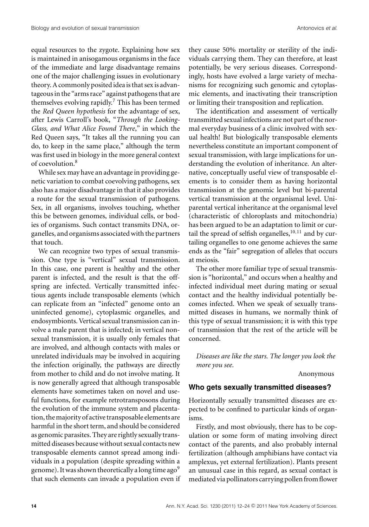equal resources to the zygote. Explaining how sex is maintained in anisogamous organisms in the face of the immediate and large disadvantage remains one of the major challenging issues in evolutionary theory. A commonly posited idea is that sex is advantageous in the "arms race" against pathogens that are themselves evolving rapidly.<sup>7</sup> This has been termed the *Red Queen hypothesis* for the advantage of sex, after Lewis Carroll's book, "*Through the Looking-Glass, and What Alice Found There*," in which the Red Queen says, "It takes all the running you can do, to keep in the same place," although the term was first used in biology in the more general context of coevolution.<sup>8</sup>

While sex may have an advantage in providing genetic variation to combat coevolving pathogens, sex also has a major disadvantage in that it also provides a route for the sexual transmission of pathogens. Sex, in all organisms, involves touching, whether this be between genomes, individual cells, or bodies of organisms. Such contact transmits DNA, organelles, and organisms associated with the partners that touch.

We can recognize two types of sexual transmission. One type is "vertical" sexual transmission. In this case, one parent is healthy and the other parent is infected, and the result is that the offspring are infected. Vertically transmitted infectious agents include transposable elements (which can replicate from an "infected" genome onto an uninfected genome), cytoplasmic organelles, and endosymbionts. Vertical sexual transmission can involve a male parent that is infected; in vertical nonsexual transmission, it is usually only females that are involved, and although contacts with males or unrelated individuals may be involved in acquiring the infection originally, the pathways are directly from mother to child and do not involve mating. It is now generally agreed that although transposable elements have sometimes taken on novel and useful functions, for example retrotransposons during the evolution of the immune system and placentation, themajority of active transposable elements are harmful in the short term, and should be considered as genomic parasites. They are rightly sexually transmitted diseases because without sexual contacts new transposable elements cannot spread among individuals in a population (despite spreading within a genome). It was shown theoretically a long time ago<sup>9</sup> that such elements can invade a population even if they cause 50% mortality or sterility of the individuals carrying them. They can therefore, at least potentially, be very serious diseases. Correspondingly, hosts have evolved a large variety of mechanisms for recognizing such genomic and cytoplasmic elements, and inactivating their transcription or limiting their transposition and replication.

The identification and assessment of vertically transmitted sexual infections are not part of the normal everyday business of a clinic involved with sexual health! But biologically transposable elements nevertheless constitute an important component of sexual transmission, with large implications for understanding the evolution of inheritance. An alternative, conceptually useful view of transposable elements is to consider them as having horizontal transmission at the genomic level but bi-parental vertical transmission at the organismal level. Uniparental vertical inheritance at the organismal level (characteristic of chloroplasts and mitochondria) has been argued to be an adaptation to limit or curtail the spread of selfish organelles, $10,11$  and by curtailing organelles to one genome achieves the same ends as the "fair" segregation of alleles that occurs at meiosis.

The other more familiar type of sexual transmission is "horizontal," and occurs when a healthy and infected individual meet during mating or sexual contact and the healthy individual potentially becomes infected. When we speak of sexually transmitted diseases in humans, we normally think of this type of sexual transmission; it is with this type of transmission that the rest of the article will be concerned.

*Diseases are like the stars. The longer you look the more you see*.

Anonymous

# **Who gets sexually transmitted diseases?**

Horizontally sexually transmitted diseases are expected to be confined to particular kinds of organisms.

Firstly, and most obviously, there has to be copulation or some form of mating involving direct contact of the parents, and also probably internal fertilization (although amphibians have contact via amplexus, yet external fertilization). Plants present an unusual case in this regard, as sexual contact is mediated via pollinators carrying pollen from flower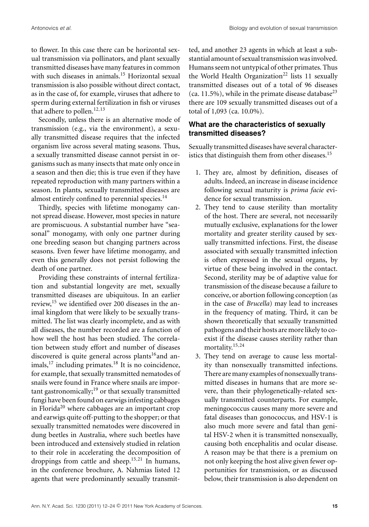to flower. In this case there can be horizontal sexual transmission via pollinators, and plant sexually transmitted diseases have many features in common with such diseases in animals.<sup>15</sup> Horizontal sexual transmission is also possible without direct contact, as in the case of, for example, viruses that adhere to sperm during external fertilization in fish or viruses that adhere to pollen.<sup>12,13</sup>

Secondly, unless there is an alternative mode of transmission (e.g., via the environment), a sexually transmitted disease requires that the infected organism live across several mating seasons. Thus, a sexually transmitted disease cannot persist in organisms such as many insects that mate only once in a season and then die; this is true even if they have repeated reproduction with many partners within a season. In plants, sexually transmitted diseases are almost entirely confined to perennial species.<sup>14</sup>

Thirdly, species with lifetime monogamy cannot spread disease. However, most species in nature are promiscuous. A substantial number have "seasonal" monogamy, with only one partner during one breeding season but changing partners across seasons. Even fewer have lifetime monogamy, and even this generally does not persist following the death of one partner.

Providing these constraints of internal fertilization and substantial longevity are met, sexually transmitted diseases are ubiquitous. In an earlier review,<sup>15</sup> we identified over 200 diseases in the animal kingdom that were likely to be sexually transmitted. The list was clearly incomplete, and as with all diseases, the number recorded are a function of how well the host has been studied. The correlation between study effort and number of diseases discovered is quite general across plants<sup>16</sup>and animals,<sup>17</sup> including primates.<sup>18</sup> It is no coincidence, for example, that sexually transmitted nematodes of snails were found in France where snails are important gastronomically; $19$  or that sexually transmitted fungi have been found on earwigs infesting cabbages in Florida<sup>20</sup> where cabbages are an important crop and earwigs quite off-putting to the shopper; or that sexually transmitted nematodes were discovered in dung beetles in Australia, where such beetles have been introduced and extensively studied in relation to their role in accelerating the decomposition of droppings from cattle and sheep.<sup>15</sup>,<sup>21</sup> In humans, in the conference brochure, A. Nahmias listed 12 agents that were predominantly sexually transmitted, and another 23 agents in which at least a substantial amount of sexual transmissionwas involved. Humans seem not untypical of other primates. Thus the World Health Organization<sup>22</sup> lists 11 sexually transmitted diseases out of a total of 96 diseases (ca. 11.5%), while in the primate disease database<sup>23</sup> there are 109 sexually transmitted diseases out of a total of 1,093 (ca. 10.0%).

# **What are the characteristics of sexually transmitted diseases?**

Sexually transmitted diseases have several characteristics that distinguish them from other diseases.<sup>15</sup>

- 1. They are, almost by definition, diseases of adults. Indeed, an increase in disease incidence following sexual maturity is *prima facie* evidence for sexual transmission.
- 2. They tend to cause sterility than mortality of the host. There are several, not necessarily mutually exclusive, explanations for the lower mortality and greater sterility caused by sexually transmitted infections. First, the disease associated with sexually transmitted infection is often expressed in the sexual organs, by virtue of these being involved in the contact. Second, sterility may be of adaptive value for transmission of the disease because a failure to conceive, or abortion following conception (as in the case of *Brucella*) may lead to increases in the frequency of mating. Third, it can be shown theoretically that sexually transmitted pathogens and their hosts are more likely to coexist if the disease causes sterility rather than mortality.<sup>15</sup>,<sup>24</sup>
- 3. They tend on average to cause less mortality than nonsexually transmitted infections. There are many examples of nonsexually transmitted diseases in humans that are more severe, than their phylogenetically-related sexually transmitted counterparts. For example, meningococcus causes many more severe and fatal diseases than gonococcus, and HSV-1 is also much more severe and fatal than genital HSV-2 when it is transmitted nonsexually, causing both encephalitis and ocular disease. A reason may be that there is a premium on not only keeping the host alive given fewer opportunities for transmission, or as discussed below, their transmission is also dependent on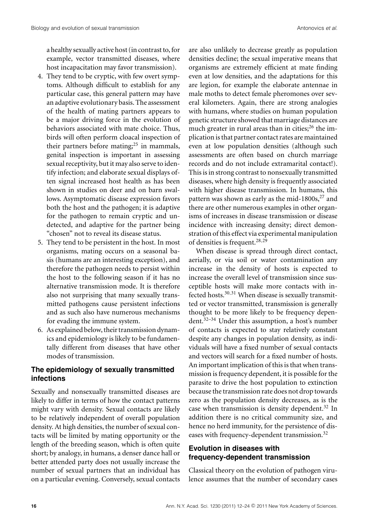a healthy sexually active host (in contrast to,for example, vector transmitted diseases, where host incapacitation may favor transmission).

- 4. They tend to be cryptic, with few overt symptoms. Although difficult to establish for any particular case, this general pattern may have an adaptive evolutionary basis. The assessment of the health of mating partners appears to be a major driving force in the evolution of behaviors associated with mate choice. Thus, birds will often perform cloacal inspection of their partners before mating; $^{25}$  in mammals, genital inspection is important in assessing sexual receptivity, but it may also serve to identify infection; and elaborate sexual displays often signal increased host health as has been shown in studies on deer and on barn swallows. Asymptomatic disease expression favors both the host and the pathogen; it is adaptive for the pathogen to remain cryptic and undetected, and adaptive for the partner being "chosen" not to reveal its disease status.
- 5. They tend to be persistent in the host. In most organisms, mating occurs on a seasonal basis (humans are an interesting exception), and therefore the pathogen needs to persist within the host to the following season if it has no alternative transmission mode. It is therefore also not surprising that many sexually transmitted pathogens cause persistent infections and as such also have numerous mechanisms for evading the immune system.
- 6. As explained below, their transmission dynamics and epidemiology is likely to be fundamentally different from diseases that have other modes of transmission.

# **The epidemiology of sexually transmitted infections**

Sexually and nonsexually transmitted diseases are likely to differ in terms of how the contact patterns might vary with density. Sexual contacts are likely to be relatively independent of overall population density. At high densities, the number of sexual contacts will be limited by mating opportunity or the length of the breeding season, which is often quite short; by analogy, in humans, a denser dance hall or better attended party does not usually increase the number of sexual partners that an individual has on a particular evening. Conversely, sexual contacts are also unlikely to decrease greatly as population densities decline; the sexual imperative means that organisms are extremely efficient at mate finding even at low densities, and the adaptations for this are legion, for example the elaborate antennae in male moths to detect female pheromones over several kilometers. Again, there are strong analogies with humans, where studies on human population genetic structure showed that marriage distances are much greater in rural areas than in cities; $^{26}$  the implication is that partner contact rates are maintained even at low population densities (although such assessments are often based on church marriage records and do not include extramarital contact!). This is in strong contrast to nonsexually transmitted diseases, where high density is frequently associated with higher disease transmission. In humans, this pattern was shown as early as the mid-1800s, $^{27}$  and there are other numerous examples in other organisms of increases in disease transmission or disease incidence with increasing density; direct demonstration of this effect via experimental manipulation of densities is frequent.<sup>28,29</sup>

When disease is spread through direct contact, aerially, or via soil or water contamination any increase in the density of hosts is expected to increase the overall level of transmission since susceptible hosts will make more contacts with infected hosts. $30,31$  When disease is sexually transmitted or vector transmitted, transmission is generally thought to be more likely to be frequency dependent. $32-34$  Under this assumption, a host's number of contacts is expected to stay relatively constant despite any changes in population density, as individuals will have a fixed number of sexual contacts and vectors will search for a fixed number of hosts. An important implication of this is that when transmission is frequency dependent, it is possible for the parasite to drive the host population to extinction because the transmission rate does not drop towards zero as the population density decreases, as is the case when transmission is density dependent.<sup>32</sup> In addition there is no critical community size, and hence no herd immunity, for the persistence of diseases with frequency-dependent transmission.<sup>32</sup>

# **Evolution in diseases with frequency-dependent transmission**

Classical theory on the evolution of pathogen virulence assumes that the number of secondary cases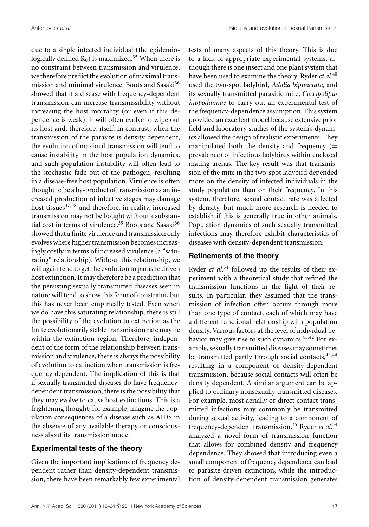due to a single infected individual (the epidemiologically defined  $R_0$ ) is maximized.<sup>35</sup> When there is no constraint between transmission and virulence, we therefore predict the evolution of maximal transmission and minimal virulence. Boots and Sasaki<sup>36</sup> showed that if a disease with frequency-dependent transmission can increase transmissibility without increasing the host mortality (or even if this dependence is weak), it will often evolve to wipe out its host and, therefore, itself. In contrast, when the transmission of the parasite is density dependent, the evolution of maximal transmission will tend to cause instability in the host population dynamics, and such population instability will often lead to the stochastic fade out of the pathogen, resulting in a disease-free host population. Virulence is often thought to be a by-product of transmission as an increased production of infective stages may damage host tissues<sup>37,38</sup> and therefore, in reality, increased transmission may not be bought without a substantial cost in terms of virulence.<sup>39</sup> Boots and Sasaki<sup>36</sup> showed that a finite virulence and transmission only evolves where higher transmission becomes increasingly costly in terms of increased virulence (a "saturating" relationship). Without this relationship, we will again tend to get the evolution to parasite driven host extinction. It may therefore be a prediction that the persisting sexually transmitted diseases seen in nature will tend to show this form of constraint, but this has never been empirically tested. Even when we do have this saturating relationship, there is still the possibility of the evolution to extinction as the finite evolutionarily stable transmission rate may lie within the extinction region. Therefore, independent of the form of the relationship between transmission and virulence, there is always the possibility of evolution to extinction when transmission is frequency dependent. The implication of this is that if sexually transmitted diseases do have frequencydependent transmission, there is the possibility that they may evolve to cause host extinctions. This is a frightening thought; for example, imagine the population consequences of a disease such as AIDS in the absence of any available therapy or consciousness about its transmission mode.

## **Experimental tests of the theory**

Given the important implications of frequency dependent rather than density-dependent transmission, there have been remarkably few experimental tests of many aspects of this theory. This is due to a lack of appropriate experimental systems, although there is one insect and one plant system that have been used to examine the theory. Ryder *et al.*<sup>40</sup> used the two-spot ladybird, *Adalia bipunctata*, and its sexually transmitted parasitic mite, *Coccipolipus hippodamiae* to carry out an experimental test of the frequency-dependence assumption. This system provided an excellent model because extensive prior field and laboratory studies of the system's dynamics allowed the design of realistic experiments. They manipulated both the density and frequency  $(=$ prevalence) of infectious ladybirds within enclosed mating arenas. The key result was that transmission of the mite in the two-spot ladybird depended more on the density of infected individuals in the study population than on their frequency. In this system, therefore, sexual contact rate was affected by density, but much more research is needed to establish if this is generally true in other animals. Population dynamics of such sexually transmitted infections may therefore exhibit characteristics of diseases with density-dependent transmission.

## **Refinements of the theory**

Ryder *et al.*<sup>34</sup> followed up the results of their experiment with a theoretical study that refined the transmission functions in the light of their results. In particular, they assumed that the transmission of infection often occurs through more than one type of contact, each of which may have a different functional relationship with population density. Various factors at the level of individual behavior may give rise to such dynamics. $41,42$  For example, sexually transmitted diseases may sometimes be transmitted partly through social contacts, 43,44 resulting in a component of density-dependent transmission, because social contacts will often be density dependent. A similar argument can be applied to ordinary nonsexually transmitted diseases. For example, most aerially or direct contact transmitted infections may commonly be transmitted during sexual activity, leading to a component of frequency-dependent transmission.45 Ryder *et al.*<sup>34</sup> analyzed a novel form of transmission function that allows for combined density and frequency dependence. They showed that introducing even a small component of frequency dependence can lead to parasite-driven extinction, while the introduction of density-dependent transmission generates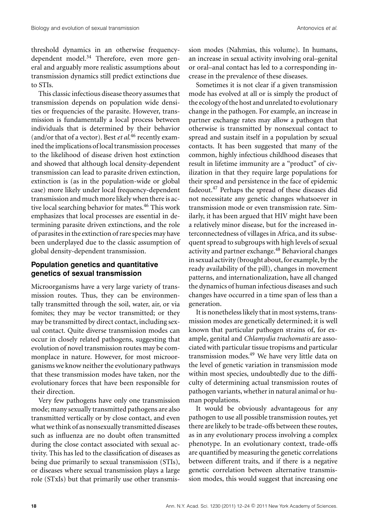threshold dynamics in an otherwise frequencydependent model.<sup>34</sup> Therefore, even more general and arguably more realistic assumptions about transmission dynamics still predict extinctions due to STIs.

This classic infectious disease theory assumes that transmission depends on population wide densities or frequencies of the parasite. However, transmission is fundamentally a local process between individuals that is determined by their behavior (and/or that of a vector). Best *et al.*<sup>46</sup> recently examined the implications of local transmission processes to the likelihood of disease driven host extinction and showed that although local density-dependent transmission can lead to parasite driven extinction, extinction is (as in the population-wide or global case) more likely under local frequency-dependent transmission and much more likely when there is active local searching behavior for mates.<sup>46</sup> This work emphasizes that local processes are essential in determining parasite driven extinctions, and the role of parasites in the extinction of rare species may have been underplayed due to the classic assumption of global density-dependent transmission.

# **Population genetics and quantitative genetics of sexual transmission**

Microorganisms have a very large variety of transmission routes. Thus, they can be environmentally transmitted through the soil, water, air, or via fomites; they may be vector transmitted; or they may be transmitted by direct contact, including sexual contact. Quite diverse transmission modes can occur in closely related pathogens, suggesting that evolution of novel transmission routes may be commonplace in nature. However, for most microorganisms we know neither the evolutionary pathways that these transmission modes have taken, nor the evolutionary forces that have been responsible for their direction.

Very few pathogens have only one transmission mode; many sexually transmitted pathogens are also transmitted vertically or by close contact, and even what we think of as nonsexually transmitted diseases such as influenza are no doubt often transmitted during the close contact associated with sexual activity. This has led to the classification of diseases as being due primarily to sexual transmission (STIs), or diseases where sexual transmission plays a large role (STxIs) but that primarily use other transmission modes (Nahmias, this volume). In humans, an increase in sexual activity involving oral–genital or oral–anal contact has led to a corresponding increase in the prevalence of these diseases.

Sometimes it is not clear if a given transmission mode has evolved at all or is simply the product of the ecology of the host and unrelated to evolutionary change in the pathogen. For example, an increase in partner exchange rates may allow a pathogen that otherwise is transmitted by nonsexual contact to spread and sustain itself in a population by sexual contacts. It has been suggested that many of the common, highly infectious childhood diseases that result in lifetime immunity are a "product" of civilization in that they require large populations for their spread and persistence in the face of epidemic fadeout.<sup>47</sup> Perhaps the spread of these diseases did not necessitate any genetic changes whatsoever in transmission mode or even transmission rate. Similarly, it has been argued that HIV might have been a relatively minor disease, but for the increased interconnectedness of villages in Africa, and its subsequent spread to subgroups with high levels of sexual activity and partner exchange.<sup>48</sup> Behavioral changes in sexual activity (brought about, for example, by the ready availability of the pill), changes in movement patterns, and internationalization, have all changed the dynamics of human infectious diseases and such changes have occurred in a time span of less than a generation.

It is nonetheless likely that in most systems, transmission modes are genetically determined; it is well known that particular pathogen strains of, for example, genital and *Chlamydia trachomatis* are associated with particular tissue tropisms and particular transmission modes.<sup>49</sup> We have very little data on the level of genetic variation in transmission mode within most species, undoubtedly due to the difficulty of determining actual transmission routes of pathogen variants, whether in natural animal or human populations.

It would be obviously advantageous for any pathogen to use all possible transmission routes, yet there are likely to be trade-offs between these routes, as in any evolutionary process involving a complex phenotype. In an evolutionary context, trade-offs are quantified by measuring the genetic correlations between different traits, and if there is a negative genetic correlation between alternative transmission modes, this would suggest that increasing one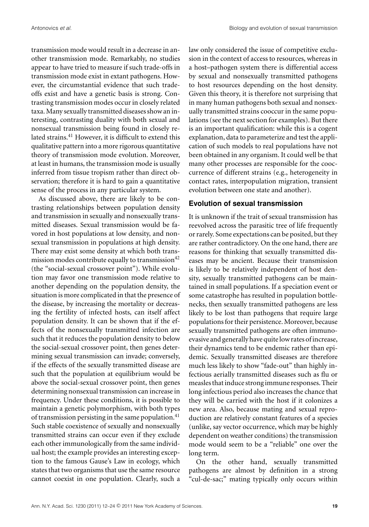transmission mode would result in a decrease in another transmission mode. Remarkably, no studies appear to have tried to measure if such trade-offs in transmission mode exist in extant pathogens. However, the circumstantial evidence that such tradeoffs exist and have a genetic basis is strong. Contrasting transmission modes occur in closely related taxa.Many sexually transmitted diseases show an interesting, contrasting duality with both sexual and nonsexual transmission being found in closely related strains.<sup>41</sup> However, it is difficult to extend this qualitative pattern into a more rigorous quantitative theory of transmission mode evolution. Moreover, at least in humans, the transmission mode is usually inferred from tissue tropism rather than direct observation; therefore it is hard to gain a quantitative sense of the process in any particular system.

As discussed above, there are likely to be contrasting relationships between population density and transmission in sexually and nonsexually transmitted diseases. Sexual transmission would be favored in host populations at low density, and nonsexual transmission in populations at high density. There may exist some density at which both transmission modes contribute equally to transmission<sup>42</sup> (the "social-sexual crossover point"). While evolution may favor one transmission mode relative to another depending on the population density, the situation is more complicated in that the presence of the disease, by increasing the mortality or decreasing the fertility of infected hosts, can itself affect population density. It can be shown that if the effects of the nonsexually transmitted infection are such that it reduces the population density to below the social-sexual crossover point, then genes determining sexual transmission can invade; conversely, if the effects of the sexually transmitted disease are such that the population at equilibrium would be above the social-sexual crossover point, then genes determining nonsexual transmission can increase in frequency. Under these conditions, it is possible to maintain a genetic polymorphism, with both types of transmission persisting in the same population.<sup>41</sup> Such stable coexistence of sexually and nonsexually transmitted strains can occur even if they exclude each other immunologically from the same individual host; the example provides an interesting exception to the famous Gause's Law in ecology, which states that two organisms that use the same resource cannot coexist in one population. Clearly, such a

law only considered the issue of competitive exclusion in the context of access to resources, whereas in a host–pathogen system there is differential access by sexual and nonsexually transmitted pathogens to host resources depending on the host density. Given this theory, it is therefore not surprising that in many human pathogens both sexual and nonsexually transmitted strains cooccur in the same populations (see the next section for examples). But there is an important qualification: while this is a cogent explanation, data to parameterize and test the application of such models to real populations have not been obtained in any organism. It could well be that many other processes are responsible for the cooccurrence of different strains (e.g., heterogeneity in contact rates, interpopulation migration, transient evolution between one state and another).

## **Evolution of sexual transmission**

It is unknown if the trait of sexual transmission has reevolved across the parasitic tree of life frequently or rarely. Some expectations can be posited, but they are rather contradictory. On the one hand, there are reasons for thinking that sexually transmitted diseases may be ancient. Because their transmission is likely to be relatively independent of host density, sexually transmitted pathogens can be maintained in small populations. If a speciation event or some catastrophe has resulted in population bottlenecks, then sexually transmitted pathogens are less likely to be lost than pathogens that require large populations for their persistence.Moreover, because sexually transmitted pathogens are often immunoevasive and generally have quite low rates of increase, their dynamics tend to be endemic rather than epidemic. Sexually transmitted diseases are therefore much less likely to show "fade-out" than highly infectious aerially transmitted diseases such as flu or measles that induce strong immune responses. Their long infectious period also increases the chance that they will be carried with the host if it colonizes a new area. Also, because mating and sexual reproduction are relatively constant features of a species (unlike, say vector occurrence, which may be highly dependent on weather conditions) the transmission mode would seem to be a "reliable" one over the long term.

On the other hand, sexually transmitted pathogens are almost by definition in a strong "cul-de-sac;" mating typically only occurs within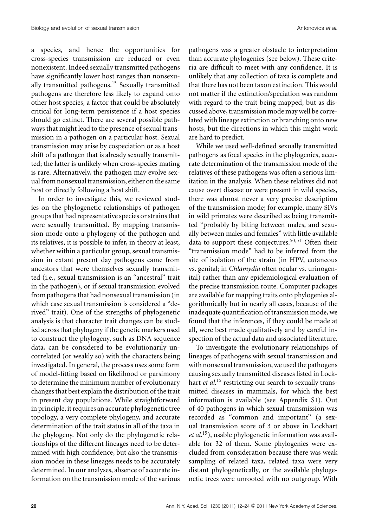a species, and hence the opportunities for cross-species transmission are reduced or even nonexistent. Indeed sexually transmitted pathogens have significantly lower host ranges than nonsexually transmitted pathogens.<sup>15</sup> Sexually transmitted pathogens are therefore less likely to expand onto other host species, a factor that could be absolutely critical for long-term persistence if a host species should go extinct. There are several possible pathways that might lead to the presence of sexual transmission in a pathogen on a particular host. Sexual transmission may arise by cospeciation or as a host shift of a pathogen that is already sexually transmitted; the latter is unlikely when cross-species mating is rare. Alternatively, the pathogen may evolve sexual from nonsexual transmission, either on the same host or directly following a host shift.

In order to investigate this, we reviewed studies on the phylogenetic relationships of pathogen groups that had representative species or strains that were sexually transmitted. By mapping transmission mode onto a phylogeny of the pathogen and its relatives, it is possible to infer, in theory at least, whether within a particular group, sexual transmission in extant present day pathogens came from ancestors that were themselves sexually transmitted (i.e., sexual transmission is an "ancestral" trait in the pathogen), or if sexual transmission evolved from pathogens that had nonsexual transmission (in which case sexual transmission is considered a "derived" trait). One of the strengths of phylogenetic analysis is that character trait changes can be studied across that phylogeny if the genetic markers used to construct the phylogeny, such as DNA sequence data, can be considered to be evolutionarily uncorrelated (or weakly so) with the characters being investigated. In general, the process uses some form of model-fitting based on likelihood or parsimony to determine the minimum number of evolutionary changes that best explain the distribution of the trait in present day populations. While straightforward in principle, it requires an accurate phylogenetic tree topology, a very complete phylogeny, and accurate determination of the trait status in all of the taxa in the phylogeny. Not only do the phylogenetic relationships of the different lineages need to be determined with high confidence, but also the transmission modes in these lineages needs to be accurately determined. In our analyses, absence of accurate information on the transmission mode of the various pathogens was a greater obstacle to interpretation than accurate phylogenies (see below). These criteria are difficult to meet with any confidence. It is unlikely that any collection of taxa is complete and that there has not been taxon extinction. This would not matter if the extinction/speciation was random with regard to the trait being mapped, but as discussed above, transmission mode may well be correlated with lineage extinction or branching onto new hosts, but the directions in which this might work are hard to predict.

While we used well-defined sexually transmitted pathogens as focal species in the phylogenies, accurate determination of the transmission mode of the relatives of these pathogens was often a serious limitation in the analysis. When these relatives did not cause overt disease or were present in wild species, there was almost never a very precise description of the transmission mode; for example, many SIVs in wild primates were described as being transmitted "probably by biting between males, and sexually between males and females" with little available data to support these conjectures.<sup>50,51</sup> Often their "transmission mode" had to be inferred from the site of isolation of the strain (in HPV, cutaneous vs. genital; in *Chlamydia* often ocular vs. urinogenital) rather than any epidemiological evaluation of the precise transmission route. Computer packages are available for mapping traits onto phylogenies algorithmically but in nearly all cases, because of the inadequate quantification of transmission mode, we found that the inferences, if they could be made at all, were best made qualitatively and by careful inspection of the actual data and associated literature.

To investigate the evolutionary relationships of lineages of pathogens with sexual transmission and with nonsexual transmission, we used the pathogens causing sexually transmitted diseases listed in Lockhart *et al.*<sup>15</sup> restricting our search to sexually transmitted diseases in mammals, for which the best information is available (see Appendix S1). Out of 40 pathogens in which sexual transmission was recorded as "common and important" (a sexual transmission score of 3 or above in Lockhart *et al.*15), usable phylogenetic information was available for 32 of them. Some phylogenies were excluded from consideration because there was weak sampling of related taxa, related taxa were very distant phylogenetically, or the available phylogenetic trees were unrooted with no outgroup. With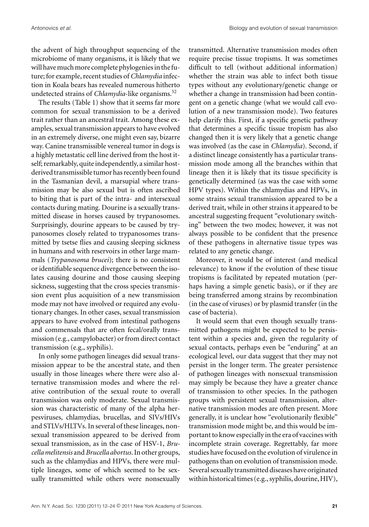the advent of high throughput sequencing of the microbiome of many organisms, it is likely that we will have much more complete phylogenies in the future; for example, recent studies of *Chlamydia* infection in Koala bears has revealed numerous hitherto undetected strains of *Chlamydia*-like organisms.<sup>52</sup>

The results (Table 1) show that it seems far more common for sexual transmission to be a derived trait rather than an ancestral trait. Among these examples, sexual transmission appears to have evolved in an extremely diverse, one might even say, bizarre way. Canine transmissible venereal tumor in dogs is a highly metastatic cell line derived from the host itself; remarkably, quite independently, a similar hostderived transmissible tumor has recently been found in the Tasmanian devil, a marsupial where transmission may be also sexual but is often ascribed to biting that is part of the intra- and intersexual contacts during mating. Dourine is a sexually transmitted disease in horses caused by trypanosomes. Surprisingly, dourine appears to be caused by trypanosomes closely related to trypanosomes transmitted by tsetse flies and causing sleeping sickness in humans and with reservoirs in other large mammals (*Trypanosoma brucei*); there is no consistent or identifiable sequence divergence between the isolates causing dourine and those causing sleeping sickness, suggesting that the cross species transmission event plus acquisition of a new transmission mode may not have involved or required any evolutionary changes. In other cases, sexual transmission appears to have evolved from intestinal pathogens and commensals that are often fecal/orally transmission (e.g., campylobacter) or from direct contact transmission (e.g., syphilis).

In only some pathogen lineages did sexual transmission appear to be the ancestral state, and then usually in those lineages where there were also alternative transmission modes and where the relative contribution of the sexual route to overall transmission was only moderate. Sexual transmission was characteristic of many of the alpha herpesviruses, chlamydias, brucellas, and SIVs/HIVs and STLVs/HLTVs. In several of these lineages, nonsexual transmission appeared to be derived from sexual transmission, as in the case of HSV-1, *Brucella melitensis* and*Brucella abortus*. In other groups, such as the chlamydias and HPVs, there were multiple lineages, some of which seemed to be sexually transmitted while others were nonsexually transmitted. Alternative transmission modes often require precise tissue tropisms. It was sometimes difficult to tell (without additional information) whether the strain was able to infect both tissue types without any evolutionary/genetic change or whether a change in transmission had been contingent on a genetic change (what we would call evolution of a new transmission mode). Two features help clarify this. First, if a specific genetic pathway that determines a specific tissue tropism has also changed then it is very likely that a genetic change was involved (as the case in *Chlamydia*). Second, if a distinct lineage consistently has a particular transmission mode among all the branches within that lineage then it is likely that its tissue specificity is genetically determined (as was the case with some HPV types). Within the chlamydias and HPVs, in some strains sexual transmission appeared to be a derived trait, while in other strains it appeared to be ancestral suggesting frequent "evolutionary switching" between the two modes; however, it was not always possible to be confident that the presence of these pathogens in alternative tissue types was related to any genetic change.

Moreover, it would be of interest (and medical relevance) to know if the evolution of these tissue tropisms is facilitated by repeated mutation (perhaps having a simple genetic basis), or if they are being transferred among strains by recombination (in the case of viruses) or by plasmid transfer (in the case of bacteria).

It would seem that even though sexually transmitted pathogens might be expected to be persistent within a species and, given the regularity of sexual contacts, perhaps even be "enduring" at an ecological level, our data suggest that they may not persist in the longer term. The greater persistence of pathogen lineages with nonsexual transmission may simply be because they have a greater chance of transmission to other species. In the pathogen groups with persistent sexual transmission, alternative transmission modes are often present. More generally, it is unclear how "evolutionarily flexible" transmission mode might be, and this would be important to know especially in the era of vaccines with incomplete strain coverage. Regrettably, far more studies have focused on the evolution of virulence in pathogens than on evolution of transmission mode. Several sexually transmitted diseases have originated within historical times (e.g., syphilis, dourine, HIV),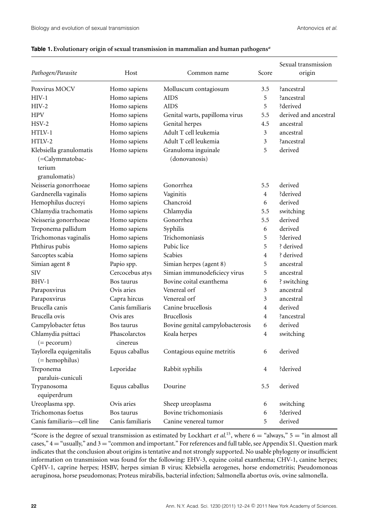| Pathogen/Parasite                                                     | Host             | Common name                          | Score          | Sexual transmission<br>origin |
|-----------------------------------------------------------------------|------------------|--------------------------------------|----------------|-------------------------------|
| Poxvirus MOCV                                                         | Homo sapiens     | Molluscum contagiosum                | 3.5            | ?ancestral                    |
| $HIV-1$                                                               | Homo sapiens     | <b>AIDS</b>                          | 5              | ancestral?                    |
| $HIV-2$                                                               | Homo sapiens     | <b>AIDS</b>                          | 5              | derived?                      |
| <b>HPV</b>                                                            | Homo sapiens     | Genital warts, papilloma virus       | 5.5            | derived and ancestral         |
| $HSV-2$                                                               | Homo sapiens     | Genital herpes                       | 4.5            | ancestral                     |
| HTLV-1                                                                | Homo sapiens     | Adult T cell leukemia                | 3              | ancestral                     |
| HTLV-2                                                                | Homo sapiens     | Adult T cell leukemia                | 3              | ?ancestral                    |
| Klebsiella granulomatis<br>(=Calymmatobac-<br>terium<br>granulomatis) | Homo sapiens     | Granuloma inguinale<br>(donovanosis) | 5              | derived                       |
| Neisseria gonorrhoeae                                                 | Homo sapiens     | Gonorrhea                            | 5.5            | derived                       |
| Gardnerella vaginalis                                                 | Homo sapiens     | Vaginitis                            | $\overline{4}$ | derived?                      |
| Hemophilus ducreyi                                                    | Homo sapiens     | Chancroid                            | 6              | derived                       |
| Chlamydia trachomatis                                                 | Homo sapiens     | Chlamydia                            | 5.5            | switching                     |
| Neisseria gonorrhoeae                                                 | Homo sapiens     | Gonorrhea                            | 5.5            | derived                       |
| Treponema pallidum                                                    | Homo sapiens     | Syphilis                             | 6              | derived                       |
| Trichomonas vaginalis                                                 | Homo sapiens     | Trichomoniasis                       | 5              | derived?                      |
| Phthirus pubis                                                        | Homo sapiens     | Pubic lice                           | 5              | derived?                      |
| Sarcoptes scabia                                                      | Homo sapiens     | Scabies                              | $\overline{4}$ | ? derived                     |
| Simian agent 8                                                        | Papio spp.       | Simian herpes (agent 8)              | 5              | ancestral                     |
| <b>SIV</b>                                                            | Cercocebus atys  | Simian immunodeficiecy virus         | 5              | ancestral                     |
| $BHV-1$                                                               | Bos taurus       | Bovine coital exanthema              | 6              | switching?                    |
| Parapoxvirus                                                          | Ovis aries       | Venereal orf                         | 3              | ancestral                     |
| Parapoxvirus                                                          | Capra hircus     | Venereal orf                         | 3              | ancestral                     |
| Brucella canis                                                        | Canis familiaris | Canine brucellosis                   | $\overline{4}$ | derived                       |
| Brucella ovis                                                         | Ovis ares        | <b>Brucellosis</b>                   | $\overline{4}$ | ?ancestral                    |
| Campylobacter fetus                                                   | Bos taurus       | Bovine genital campylobacterosis     | 6              | derived                       |
| Chlamydia psittaci                                                    | Phascolarctos    | Koala herpes                         | $\overline{4}$ | switching                     |
| $(=$ pecorum $)$                                                      | cinereus         |                                      |                |                               |
| Taylorella equigenitalis<br>$( = \text{hemophilus})$                  | Equus caballus   | Contagious equine metritis           | 6              | derived                       |
| Treponema<br>paraluis-cuniculi                                        | Leporidae        | Rabbit syphilis                      | $\overline{4}$ | ?derived                      |
| Trypanosoma<br>equiperdrum                                            | Equus caballus   | Dourine                              | 5.5            | derived                       |
| Ureoplasma spp.                                                       | Ovis aries       | Sheep ureoplasma                     | 6              | switching                     |
| Trichomonas foetus                                                    | Bos taurus       | Bovine trichomoniasis                | 6              | ?derived                      |
| Canis familiaris-cell line                                            | Canis familiaris | Canine venereal tumor                | 5              | derived                       |

#### **Table 1. Evolutionary origin of sexual transmission in mammalian and human pathogens***<sup>a</sup>*

<sup>*a*</sup>Score is the degree of sexual transmission as estimated by Lockhart *et al.*<sup>15</sup>, where  $6 =$  "always,"  $5 =$  "in almost all cases,"  $4 =$ "usually," and  $3 =$ "common and important." For references and full table, see Appendix S1. Question mark indicates that the conclusion about origins is tentative and not strongly supported. No usable phylogeny or insufficient information on transmission was found for the following: EHV-3, equine coital exanthema; CHV-1, canine herpes; CpHV-1, caprine herpes; HSBV, herpes simian B virus; Klebsiella aerogenes, horse endometritis; Pseudomonoas aeruginosa, horse pseudomonas; Proteus mirabilis, bacterial infection; Salmonella abortus ovis, ovine salmonella.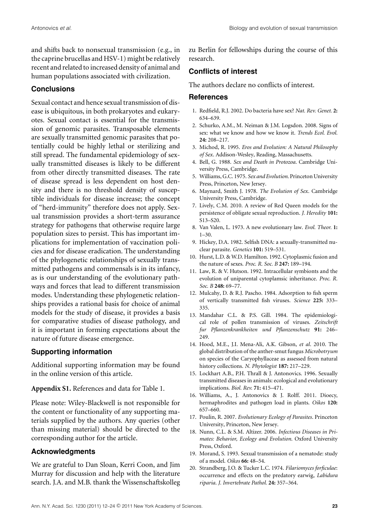and shifts back to nonsexual transmission (e.g., in the caprine brucellas and HSV-1) might be relatively recent and related to increased density of animal and human populations associated with civilization.

## **Conclusions**

Sexual contact and hence sexual transmission of disease is ubiquitous, in both prokaryotes and eukaryotes. Sexual contact is essential for the transmission of genomic parasites. Transposable elements are sexually transmitted genomic parasites that potentially could be highly lethal or sterilizing and still spread. The fundamental epidemiology of sexually transmitted diseases is likely to be different from other directly transmitted diseases. The rate of disease spread is less dependent on host density and there is no threshold density of susceptible individuals for disease increase; the concept of "herd-immunity" therefore does not apply. Sexual transmission provides a short-term assurance strategy for pathogens that otherwise require large population sizes to persist. This has important implications for implementation of vaccination policies and for disease eradication. The understanding of the phylogenetic relationships of sexually transmitted pathogens and commensals is in its infancy, as is our understanding of the evolutionary pathways and forces that lead to different transmission modes. Understanding these phylogenetic relationships provides a rational basis for choice of animal models for the study of disease, it provides a basis for comparative studies of disease pathology, and it is important in forming expectations about the nature of future disease emergence.

## **Supporting information**

Additional supporting information may be found in the online version of this article.

#### **Appendix S1.** References and data for Table 1.

Please note: Wiley-Blackwell is not responsible for the content or functionality of any supporting materials supplied by the authors. Any queries (other than missing material) should be directed to the corresponding author for the article.

#### **Acknowledgments**

We are grateful to Dan Sloan, Kerri Coon, and Jim Murray for discussion and help with the literature search. J.A. and M.B. thank the Wissenschaftskolleg zu Berlin for fellowships during the course of this research.

## **Conflicts of interest**

The authors declare no conflicts of interest.

#### **References**

- 1. Redfield, R.J. 2002. Do bacteria have sex? *Nat. Rev. Genet.* **2:** 634–639.
- 2. Schurko, A.M., M. Neiman & J.M. Logsdon. 2008. Signs of sex: what we know and how we know it. *Trends Ecol. Evol.* **24:** 208–217.
- 3. Michod, R. 1995. *Eros and Evolution: A Natural Philosophy of Sex*. Addison-Wesley, Reading, Massachusetts.
- 4. Bell, G. 1988. *Sex and Death in Protozoa*. Cambridge University Press, Cambridge.
- 5. Williams, G.C. 1975. *Sex and Evolution*. Princeton University Press, Princeton, New Jersey.
- 6. Maynard, Smith J. 1978. *The Evolution of Sex*. Cambridge University Press, Cambridge.
- 7. Lively, C.M. 2010. A review of Red Queen models for the persistence of obligate sexual reproduction. *J. Heredity* **101:** S13–S20.
- 8. Van Valen, L. 1973. A new evolutionary law. *Evol. Theor.* **1:** 1–30.
- 9. Hickey, D.A. 1982. Selfish DNA: a sexually-transmitted nuclear parasite. *Genetics* **101:** 519–531.
- 10. Hurst, L.D. & W.D. Hamilton. 1992. Cytoplasmic fusion and the nature of sexes. *Proc. R. Soc. B* **247:** 189–194.
- 11. Law, R. & V. Hutson. 1992. Intracellular symbionts and the evolution of uniparental cytoplamsic inheritance. *Proc. R. Soc. B* **248:** 69–77.
- 12. Mulcahy, D. & R.J. Pascho. 1984. Adsorption to fish sperm of vertically transmitted fish viruses. *Science* **225:** 333– 335.
- 13. Mandahar C.L. & P.S. Gill. 1984. The epidemiological role of pollen transmission of viruses. *Zeitschrift fur Pflanzenkrankheiten und Pflanzenschutz* **91:** 246– 249.
- 14. Hood, M.E., J.I. Mena-Ali, A.K. Gibson, *et al*. 2010. The global distribution of the anther-smut fungus *Microbotryum* on species of the Caryophyllaceae as assessed from natural history collections. *N. Phytologist* **187:** 217–229.
- 15. Lockhart A.B., P.H. Thrall & J. Antonovics. 1996. Sexually transmitted diseases in animals: ecological and evolutionary implications. *Biol. Rev.* **71:** 415–471.
- 16. Williams, A., J. Antonovics & J. Rolff. 2011. Dioecy, hermaphrodites and pathogen load in plants. *Oikos* **120:** 657–660.
- 17. Poulin, R. 2007. *Evolutionary Ecology of Parasites*. Princeton University, Princeton, New Jersey.
- 18. Nunn, C.L. & S.M. Altizer. 2006. *Infectious Diseases in Primates: Behavior, Ecology and Evolution*. Oxford University Press, Oxford.
- 19. Morand, S. 1993. Sexual transmission of a nematode: study of a model. *Oikos* **66:** 48–54.
- 20. Strandberg, J.O. & Tucker L.C. 1974. *Filariomyces forficulae*: occurrence and effects on the predatory earwig, *Labidura riparia*. *J. Invertebrate Pathol.* **24:** 357–364.